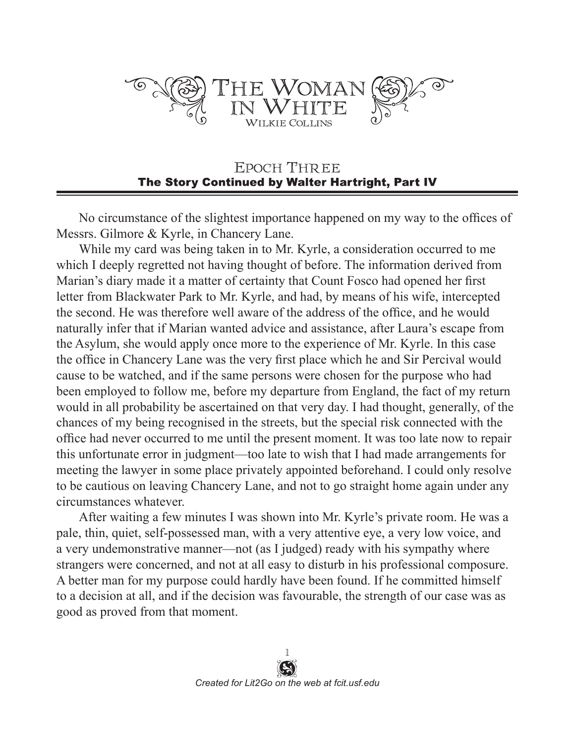

## EPOCH THREE The Story Continued by Walter Hartright, Part IV

No circumstance of the slightest importance happened on my way to the offices of Messrs. Gilmore & Kyrle, in Chancery Lane.

While my card was being taken in to Mr. Kyrle, a consideration occurred to me which I deeply regretted not having thought of before. The information derived from Marian's diary made it a matter of certainty that Count Fosco had opened her first letter from Blackwater Park to Mr. Kyrle, and had, by means of his wife, intercepted the second. He was therefore well aware of the address of the office, and he would naturally infer that if Marian wanted advice and assistance, after Laura's escape from the Asylum, she would apply once more to the experience of Mr. Kyrle. In this case the office in Chancery Lane was the very first place which he and Sir Percival would cause to be watched, and if the same persons were chosen for the purpose who had been employed to follow me, before my departure from England, the fact of my return would in all probability be ascertained on that very day. I had thought, generally, of the chances of my being recognised in the streets, but the special risk connected with the office had never occurred to me until the present moment. It was too late now to repair this unfortunate error in judgment—too late to wish that I had made arrangements for meeting the lawyer in some place privately appointed beforehand. I could only resolve to be cautious on leaving Chancery Lane, and not to go straight home again under any circumstances whatever.

After waiting a few minutes I was shown into Mr. Kyrle's private room. He was a pale, thin, quiet, self-possessed man, with a very attentive eye, a very low voice, and a very undemonstrative manner—not (as I judged) ready with his sympathy where strangers were concerned, and not at all easy to disturb in his professional composure. A better man for my purpose could hardly have been found. If he committed himself to a decision at all, and if the decision was favourable, the strength of our case was as good as proved from that moment.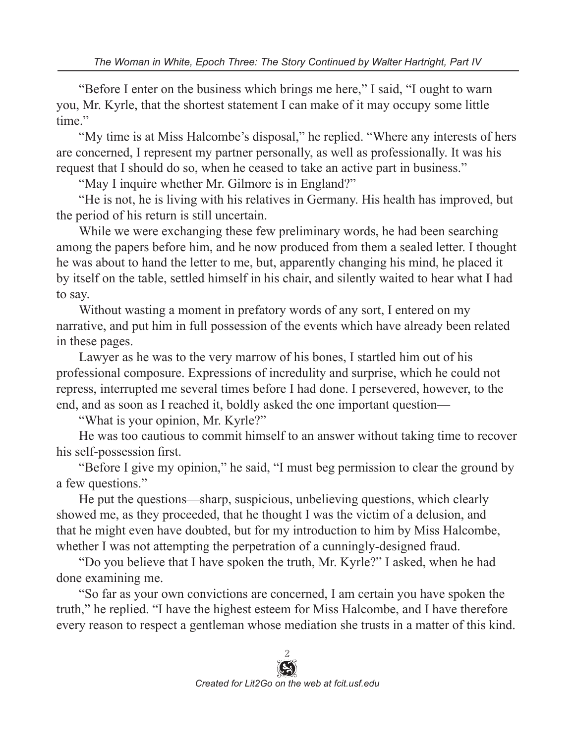"Before I enter on the business which brings me here," I said, "I ought to warn you, Mr. Kyrle, that the shortest statement I can make of it may occupy some little time."

"My time is at Miss Halcombe's disposal," he replied. "Where any interests of hers are concerned, I represent my partner personally, as well as professionally. It was his request that I should do so, when he ceased to take an active part in business."

"May I inquire whether Mr. Gilmore is in England?"

"He is not, he is living with his relatives in Germany. His health has improved, but the period of his return is still uncertain.

While we were exchanging these few preliminary words, he had been searching among the papers before him, and he now produced from them a sealed letter. I thought he was about to hand the letter to me, but, apparently changing his mind, he placed it by itself on the table, settled himself in his chair, and silently waited to hear what I had to say.

Without wasting a moment in prefatory words of any sort, I entered on my narrative, and put him in full possession of the events which have already been related in these pages.

Lawyer as he was to the very marrow of his bones, I startled him out of his professional composure. Expressions of incredulity and surprise, which he could not repress, interrupted me several times before I had done. I persevered, however, to the end, and as soon as I reached it, boldly asked the one important question—

"What is your opinion, Mr. Kyrle?"

He was too cautious to commit himself to an answer without taking time to recover his self-possession first.

"Before I give my opinion," he said, "I must beg permission to clear the ground by a few questions."

He put the questions—sharp, suspicious, unbelieving questions, which clearly showed me, as they proceeded, that he thought I was the victim of a delusion, and that he might even have doubted, but for my introduction to him by Miss Halcombe, whether I was not attempting the perpetration of a cunningly-designed fraud.

"Do you believe that I have spoken the truth, Mr. Kyrle?" I asked, when he had done examining me.

"So far as your own convictions are concerned, I am certain you have spoken the truth," he replied. "I have the highest esteem for Miss Halcombe, and I have therefore every reason to respect a gentleman whose mediation she trusts in a matter of this kind.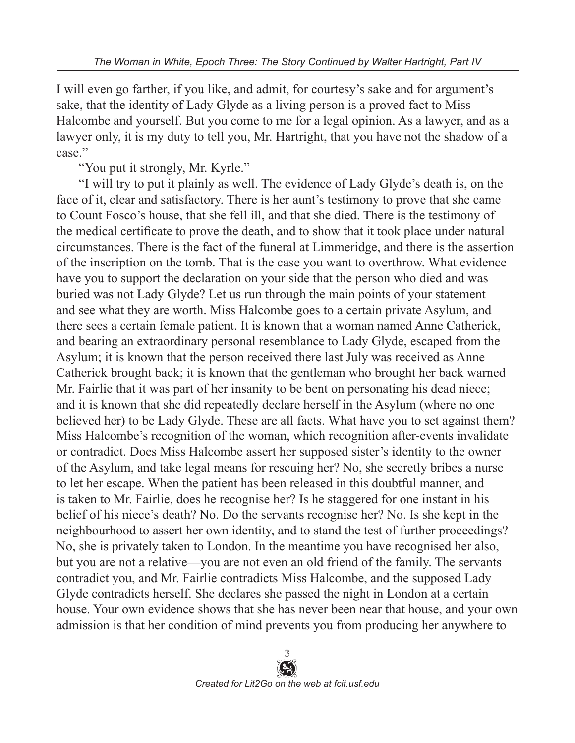I will even go farther, if you like, and admit, for courtesy's sake and for argument's sake, that the identity of Lady Glyde as a living person is a proved fact to Miss Halcombe and yourself. But you come to me for a legal opinion. As a lawyer, and as a lawyer only, it is my duty to tell you, Mr. Hartright, that you have not the shadow of a case."

"You put it strongly, Mr. Kyrle."

"I will try to put it plainly as well. The evidence of Lady Glyde's death is, on the face of it, clear and satisfactory. There is her aunt's testimony to prove that she came to Count Fosco's house, that she fell ill, and that she died. There is the testimony of the medical certificate to prove the death, and to show that it took place under natural circumstances. There is the fact of the funeral at Limmeridge, and there is the assertion of the inscription on the tomb. That is the case you want to overthrow. What evidence have you to support the declaration on your side that the person who died and was buried was not Lady Glyde? Let us run through the main points of your statement and see what they are worth. Miss Halcombe goes to a certain private Asylum, and there sees a certain female patient. It is known that a woman named Anne Catherick, and bearing an extraordinary personal resemblance to Lady Glyde, escaped from the Asylum; it is known that the person received there last July was received as Anne Catherick brought back; it is known that the gentleman who brought her back warned Mr. Fairlie that it was part of her insanity to be bent on personating his dead niece; and it is known that she did repeatedly declare herself in the Asylum (where no one believed her) to be Lady Glyde. These are all facts. What have you to set against them? Miss Halcombe's recognition of the woman, which recognition after-events invalidate or contradict. Does Miss Halcombe assert her supposed sister's identity to the owner of the Asylum, and take legal means for rescuing her? No, she secretly bribes a nurse to let her escape. When the patient has been released in this doubtful manner, and is taken to Mr. Fairlie, does he recognise her? Is he staggered for one instant in his belief of his niece's death? No. Do the servants recognise her? No. Is she kept in the neighbourhood to assert her own identity, and to stand the test of further proceedings? No, she is privately taken to London. In the meantime you have recognised her also, but you are not a relative—you are not even an old friend of the family. The servants contradict you, and Mr. Fairlie contradicts Miss Halcombe, and the supposed Lady Glyde contradicts herself. She declares she passed the night in London at a certain house. Your own evidence shows that she has never been near that house, and your own admission is that her condition of mind prevents you from producing her anywhere to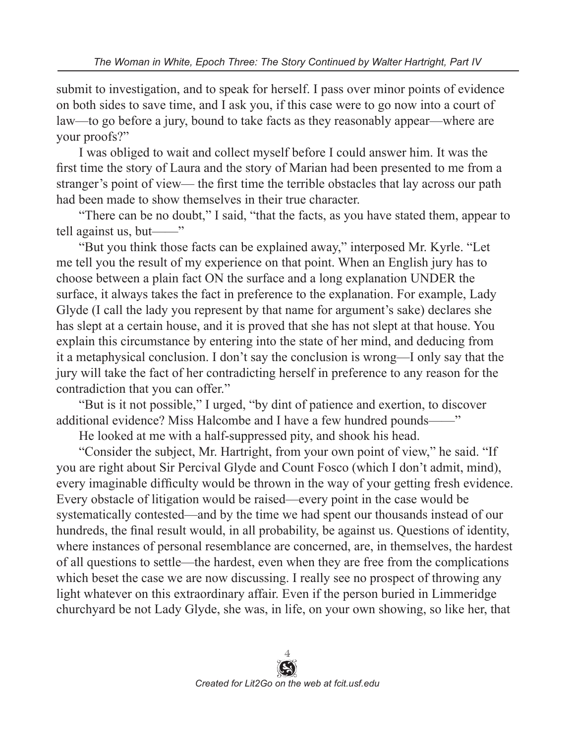submit to investigation, and to speak for herself. I pass over minor points of evidence on both sides to save time, and I ask you, if this case were to go now into a court of law—to go before a jury, bound to take facts as they reasonably appear—where are your proofs?"

I was obliged to wait and collect myself before I could answer him. It was the first time the story of Laura and the story of Marian had been presented to me from a stranger's point of view— the first time the terrible obstacles that lay across our path had been made to show themselves in their true character.

"There can be no doubt," I said, "that the facts, as you have stated them, appear to tell against us, but——"

"But you think those facts can be explained away," interposed Mr. Kyrle. "Let me tell you the result of my experience on that point. When an English jury has to choose between a plain fact ON the surface and a long explanation UNDER the surface, it always takes the fact in preference to the explanation. For example, Lady Glyde (I call the lady you represent by that name for argument's sake) declares she has slept at a certain house, and it is proved that she has not slept at that house. You explain this circumstance by entering into the state of her mind, and deducing from it a metaphysical conclusion. I don't say the conclusion is wrong—I only say that the jury will take the fact of her contradicting herself in preference to any reason for the contradiction that you can offer."

"But is it not possible," I urged, "by dint of patience and exertion, to discover additional evidence? Miss Halcombe and I have a few hundred pounds——"

He looked at me with a half-suppressed pity, and shook his head.

"Consider the subject, Mr. Hartright, from your own point of view," he said. "If you are right about Sir Percival Glyde and Count Fosco (which I don't admit, mind), every imaginable difficulty would be thrown in the way of your getting fresh evidence. Every obstacle of litigation would be raised—every point in the case would be systematically contested—and by the time we had spent our thousands instead of our hundreds, the final result would, in all probability, be against us. Questions of identity, where instances of personal resemblance are concerned, are, in themselves, the hardest of all questions to settle—the hardest, even when they are free from the complications which beset the case we are now discussing. I really see no prospect of throwing any light whatever on this extraordinary affair. Even if the person buried in Limmeridge churchyard be not Lady Glyde, she was, in life, on your own showing, so like her, that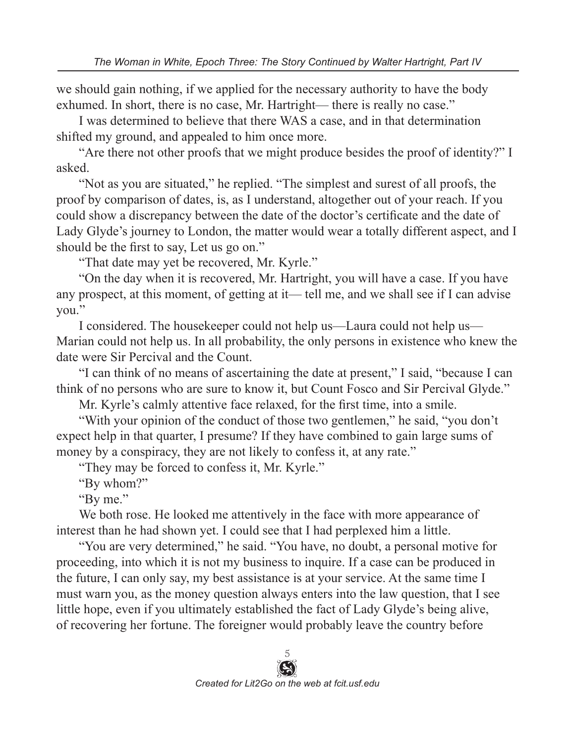we should gain nothing, if we applied for the necessary authority to have the body exhumed. In short, there is no case, Mr. Hartright— there is really no case."

I was determined to believe that there WAS a case, and in that determination shifted my ground, and appealed to him once more.

"Are there not other proofs that we might produce besides the proof of identity?" I asked.

"Not as you are situated," he replied. "The simplest and surest of all proofs, the proof by comparison of dates, is, as I understand, altogether out of your reach. If you could show a discrepancy between the date of the doctor's certificate and the date of Lady Glyde's journey to London, the matter would wear a totally different aspect, and I should be the first to say, Let us go on."

"That date may yet be recovered, Mr. Kyrle."

"On the day when it is recovered, Mr. Hartright, you will have a case. If you have any prospect, at this moment, of getting at it— tell me, and we shall see if I can advise you."

I considered. The housekeeper could not help us—Laura could not help us— Marian could not help us. In all probability, the only persons in existence who knew the date were Sir Percival and the Count.

"I can think of no means of ascertaining the date at present," I said, "because I can think of no persons who are sure to know it, but Count Fosco and Sir Percival Glyde."

Mr. Kyrle's calmly attentive face relaxed, for the first time, into a smile.

"With your opinion of the conduct of those two gentlemen," he said, "you don't expect help in that quarter, I presume? If they have combined to gain large sums of money by a conspiracy, they are not likely to confess it, at any rate."

"They may be forced to confess it, Mr. Kyrle."

"By whom?"

"By me."

We both rose. He looked me attentively in the face with more appearance of interest than he had shown yet. I could see that I had perplexed him a little.

"You are very determined," he said. "You have, no doubt, a personal motive for proceeding, into which it is not my business to inquire. If a case can be produced in the future, I can only say, my best assistance is at your service. At the same time I must warn you, as the money question always enters into the law question, that I see little hope, even if you ultimately established the fact of Lady Glyde's being alive, of recovering her fortune. The foreigner would probably leave the country before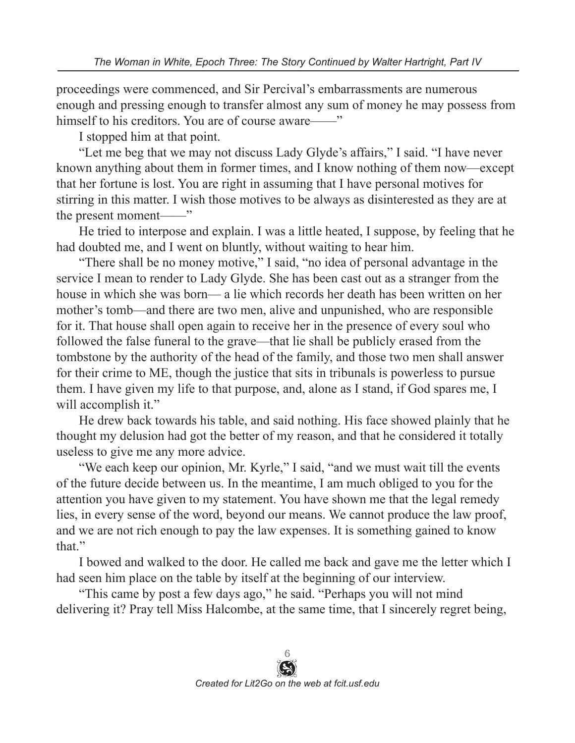proceedings were commenced, and Sir Percival's embarrassments are numerous enough and pressing enough to transfer almost any sum of money he may possess from himself to his creditors. You are of course aware—

I stopped him at that point.

"Let me beg that we may not discuss Lady Glyde's affairs," I said. "I have never known anything about them in former times, and I know nothing of them now—except that her fortune is lost. You are right in assuming that I have personal motives for stirring in this matter. I wish those motives to be always as disinterested as they are at the present moment——"

He tried to interpose and explain. I was a little heated, I suppose, by feeling that he had doubted me, and I went on bluntly, without waiting to hear him.

"There shall be no money motive," I said, "no idea of personal advantage in the service I mean to render to Lady Glyde. She has been cast out as a stranger from the house in which she was born— a lie which records her death has been written on her mother's tomb—and there are two men, alive and unpunished, who are responsible for it. That house shall open again to receive her in the presence of every soul who followed the false funeral to the grave—that lie shall be publicly erased from the tombstone by the authority of the head of the family, and those two men shall answer for their crime to ME, though the justice that sits in tribunals is powerless to pursue them. I have given my life to that purpose, and, alone as I stand, if God spares me, I will accomplish it."

He drew back towards his table, and said nothing. His face showed plainly that he thought my delusion had got the better of my reason, and that he considered it totally useless to give me any more advice.

"We each keep our opinion, Mr. Kyrle," I said, "and we must wait till the events of the future decide between us. In the meantime, I am much obliged to you for the attention you have given to my statement. You have shown me that the legal remedy lies, in every sense of the word, beyond our means. We cannot produce the law proof, and we are not rich enough to pay the law expenses. It is something gained to know that."

I bowed and walked to the door. He called me back and gave me the letter which I had seen him place on the table by itself at the beginning of our interview.

"This came by post a few days ago," he said. "Perhaps you will not mind delivering it? Pray tell Miss Halcombe, at the same time, that I sincerely regret being,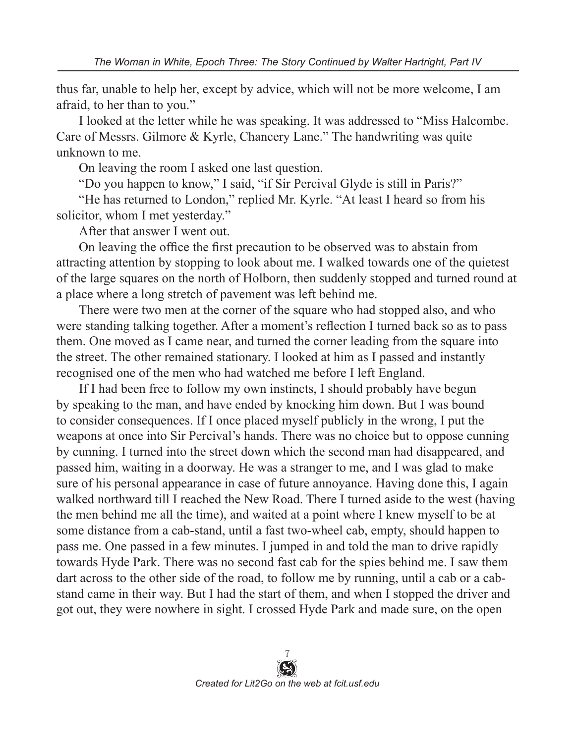thus far, unable to help her, except by advice, which will not be more welcome, I am afraid, to her than to you."

I looked at the letter while he was speaking. It was addressed to "Miss Halcombe. Care of Messrs. Gilmore & Kyrle, Chancery Lane." The handwriting was quite unknown to me.

On leaving the room I asked one last question.

"Do you happen to know," I said, "if Sir Percival Glyde is still in Paris?"

"He has returned to London," replied Mr. Kyrle. "At least I heard so from his solicitor, whom I met yesterday."

After that answer I went out.

On leaving the office the first precaution to be observed was to abstain from attracting attention by stopping to look about me. I walked towards one of the quietest of the large squares on the north of Holborn, then suddenly stopped and turned round at a place where a long stretch of pavement was left behind me.

There were two men at the corner of the square who had stopped also, and who were standing talking together. After a moment's reflection I turned back so as to pass them. One moved as I came near, and turned the corner leading from the square into the street. The other remained stationary. I looked at him as I passed and instantly recognised one of the men who had watched me before I left England.

If I had been free to follow my own instincts, I should probably have begun by speaking to the man, and have ended by knocking him down. But I was bound to consider consequences. If I once placed myself publicly in the wrong, I put the weapons at once into Sir Percival's hands. There was no choice but to oppose cunning by cunning. I turned into the street down which the second man had disappeared, and passed him, waiting in a doorway. He was a stranger to me, and I was glad to make sure of his personal appearance in case of future annoyance. Having done this, I again walked northward till I reached the New Road. There I turned aside to the west (having the men behind me all the time), and waited at a point where I knew myself to be at some distance from a cab-stand, until a fast two-wheel cab, empty, should happen to pass me. One passed in a few minutes. I jumped in and told the man to drive rapidly towards Hyde Park. There was no second fast cab for the spies behind me. I saw them dart across to the other side of the road, to follow me by running, until a cab or a cabstand came in their way. But I had the start of them, and when I stopped the driver and got out, they were nowhere in sight. I crossed Hyde Park and made sure, on the open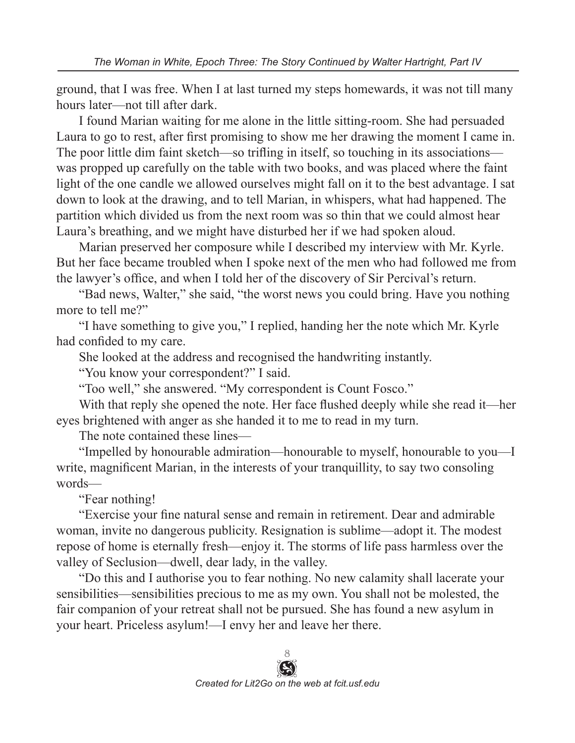ground, that I was free. When I at last turned my steps homewards, it was not till many hours later—not till after dark.

I found Marian waiting for me alone in the little sitting-room. She had persuaded Laura to go to rest, after first promising to show me her drawing the moment I came in. The poor little dim faint sketch—so trifling in itself, so touching in its associations was propped up carefully on the table with two books, and was placed where the faint light of the one candle we allowed ourselves might fall on it to the best advantage. I sat down to look at the drawing, and to tell Marian, in whispers, what had happened. The partition which divided us from the next room was so thin that we could almost hear Laura's breathing, and we might have disturbed her if we had spoken aloud.

Marian preserved her composure while I described my interview with Mr. Kyrle. But her face became troubled when I spoke next of the men who had followed me from the lawyer's office, and when I told her of the discovery of Sir Percival's return.

"Bad news, Walter," she said, "the worst news you could bring. Have you nothing more to tell me?"

"I have something to give you," I replied, handing her the note which Mr. Kyrle had confided to my care.

She looked at the address and recognised the handwriting instantly.

"You know your correspondent?" I said.

"Too well," she answered. "My correspondent is Count Fosco."

With that reply she opened the note. Her face flushed deeply while she read it—her eyes brightened with anger as she handed it to me to read in my turn.

The note contained these lines—

"Impelled by honourable admiration—honourable to myself, honourable to you—I write, magnificent Marian, in the interests of your tranquillity, to say two consoling words—

"Fear nothing!

"Exercise your fine natural sense and remain in retirement. Dear and admirable woman, invite no dangerous publicity. Resignation is sublime—adopt it. The modest repose of home is eternally fresh—enjoy it. The storms of life pass harmless over the valley of Seclusion—dwell, dear lady, in the valley.

"Do this and I authorise you to fear nothing. No new calamity shall lacerate your sensibilities—sensibilities precious to me as my own. You shall not be molested, the fair companion of your retreat shall not be pursued. She has found a new asylum in your heart. Priceless asylum!—I envy her and leave her there.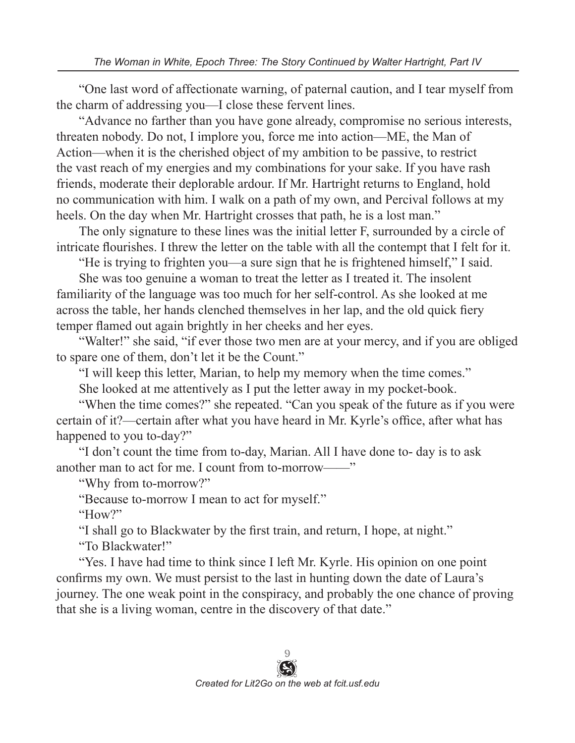"One last word of affectionate warning, of paternal caution, and I tear myself from the charm of addressing you—I close these fervent lines.

"Advance no farther than you have gone already, compromise no serious interests, threaten nobody. Do not, I implore you, force me into action—ME, the Man of Action—when it is the cherished object of my ambition to be passive, to restrict the vast reach of my energies and my combinations for your sake. If you have rash friends, moderate their deplorable ardour. If Mr. Hartright returns to England, hold no communication with him. I walk on a path of my own, and Percival follows at my heels. On the day when Mr. Hartright crosses that path, he is a lost man."

The only signature to these lines was the initial letter F, surrounded by a circle of intricate flourishes. I threw the letter on the table with all the contempt that I felt for it.

"He is trying to frighten you—a sure sign that he is frightened himself," I said.

She was too genuine a woman to treat the letter as I treated it. The insolent familiarity of the language was too much for her self-control. As she looked at me across the table, her hands clenched themselves in her lap, and the old quick fiery temper flamed out again brightly in her cheeks and her eyes.

"Walter!" she said, "if ever those two men are at your mercy, and if you are obliged to spare one of them, don't let it be the Count."

"I will keep this letter, Marian, to help my memory when the time comes."

She looked at me attentively as I put the letter away in my pocket-book.

"When the time comes?" she repeated. "Can you speak of the future as if you were certain of it?—certain after what you have heard in Mr. Kyrle's office, after what has happened to you to-day?"

"I don't count the time from to-day, Marian. All I have done to- day is to ask another man to act for me. I count from to-morrow——"

"Why from to-morrow?"

"Because to-morrow I mean to act for myself."

"How?"

"I shall go to Blackwater by the first train, and return, I hope, at night."

"To Blackwater!"

"Yes. I have had time to think since I left Mr. Kyrle. His opinion on one point confirms my own. We must persist to the last in hunting down the date of Laura's journey. The one weak point in the conspiracy, and probably the one chance of proving that she is a living woman, centre in the discovery of that date."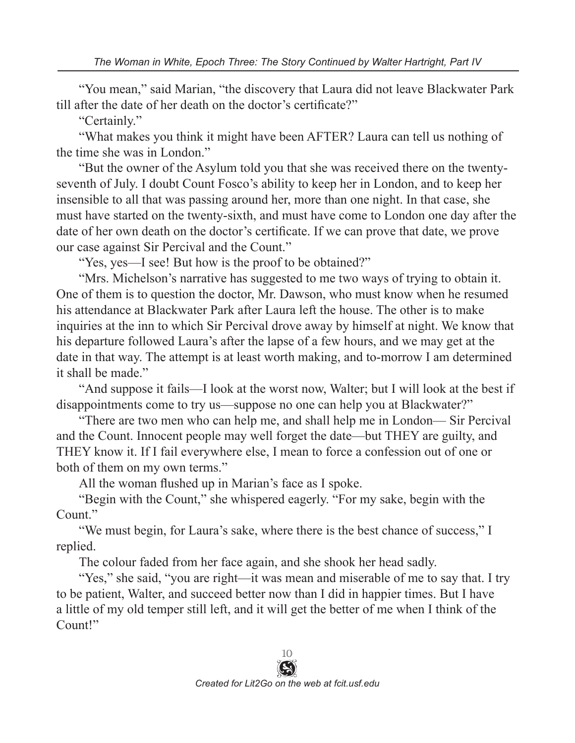"You mean," said Marian, "the discovery that Laura did not leave Blackwater Park till after the date of her death on the doctor's certificate?"

"Certainly."

"What makes you think it might have been AFTER? Laura can tell us nothing of the time she was in London."

"But the owner of the Asylum told you that she was received there on the twentyseventh of July. I doubt Count Fosco's ability to keep her in London, and to keep her insensible to all that was passing around her, more than one night. In that case, she must have started on the twenty-sixth, and must have come to London one day after the date of her own death on the doctor's certificate. If we can prove that date, we prove our case against Sir Percival and the Count."

"Yes, yes—I see! But how is the proof to be obtained?"

"Mrs. Michelson's narrative has suggested to me two ways of trying to obtain it. One of them is to question the doctor, Mr. Dawson, who must know when he resumed his attendance at Blackwater Park after Laura left the house. The other is to make inquiries at the inn to which Sir Percival drove away by himself at night. We know that his departure followed Laura's after the lapse of a few hours, and we may get at the date in that way. The attempt is at least worth making, and to-morrow I am determined it shall be made."

"And suppose it fails—I look at the worst now, Walter; but I will look at the best if disappointments come to try us—suppose no one can help you at Blackwater?"

"There are two men who can help me, and shall help me in London— Sir Percival and the Count. Innocent people may well forget the date—but THEY are guilty, and THEY know it. If I fail everywhere else, I mean to force a confession out of one or both of them on my own terms."

All the woman flushed up in Marian's face as I spoke.

"Begin with the Count," she whispered eagerly. "For my sake, begin with the Count."

"We must begin, for Laura's sake, where there is the best chance of success," I replied.

The colour faded from her face again, and she shook her head sadly.

"Yes," she said, "you are right—it was mean and miserable of me to say that. I try to be patient, Walter, and succeed better now than I did in happier times. But I have a little of my old temper still left, and it will get the better of me when I think of the Count!"